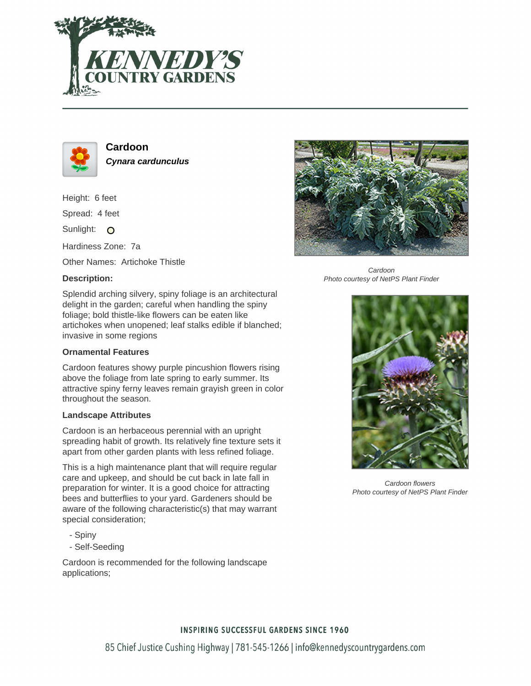



**Cardoon Cynara cardunculus**

Height: 6 feet

Spread: 4 feet

Sunlight: O

Hardiness Zone: 7a

Other Names: Artichoke Thistle

## **Description:**



Cardoon Photo courtesy of NetPS Plant Finder

Splendid arching silvery, spiny foliage is an architectural delight in the garden; careful when handling the spiny foliage; bold thistle-like flowers can be eaten like artichokes when unopened; leaf stalks edible if blanched; invasive in some regions

### **Ornamental Features**

Cardoon features showy purple pincushion flowers rising above the foliage from late spring to early summer. Its attractive spiny ferny leaves remain grayish green in color throughout the season.

### **Landscape Attributes**

Cardoon is an herbaceous perennial with an upright spreading habit of growth. Its relatively fine texture sets it apart from other garden plants with less refined foliage.

This is a high maintenance plant that will require regular care and upkeep, and should be cut back in late fall in preparation for winter. It is a good choice for attracting bees and butterflies to your yard. Gardeners should be aware of the following characteristic(s) that may warrant special consideration;

- Spiny
- Self-Seeding

Cardoon is recommended for the following landscape applications;



Cardoon flowers Photo courtesy of NetPS Plant Finder

### **INSPIRING SUCCESSFUL GARDENS SINCE 1960**